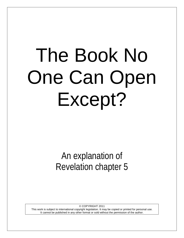# The Book No One Can Open Except?

An explanation of Revelation chapter 5

© COPYRIGHT 2011 This work is subject to international copyright legislation. It may be copied or printed for personal use. It cannot be published in any other format or sold without the permission of the author.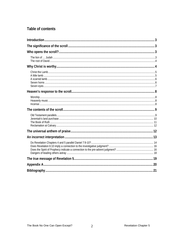# Table of contents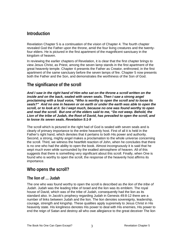# <span id="page-2-0"></span>**Introduction**

Revelation Chapter 5 is a continuation of the vision of Chapter 4. The fourth chapter revealed God the Father upon the throne, amid the four living creatures and the twentyfour elders. He is pictured in the first apartment of the magnificent sanctuary in the kingdom of heaven.

In reviewing the earlier chapters of Revelation, it is clear that the first chapter brings to view Jesus Christ, as Priest, among the seven lamp stands in the first apartment of the great heavenly temple. Chapter 4 presents the Father as Creator, enthroned, in the first apartment of the same sanctuary before the seven lamps of fire. Chapter 5 now presents both the Father and the Son, and demonstrates the worthiness of the Son of God.

# <span id="page-2-1"></span>**The significance of the scroll**

*And I saw in the right hand of Him who sat on the throne a scroll written on the inside and on the back, sealed with seven seals. Then I saw a strong angel proclaiming with a loud voice, "Who is worthy to open the scroll and to loose its seals?" And no one in heaven or on earth or under the earth was able to open the scroll, or to look at it. So I wept much, because no one was found worthy to open and read the scroll. But one of the elders said to me, "Do not weep. Behold, the Lion of the tribe of Judah, the Root of David, has prevailed to open the scroll, and to loose its seven seals. Revelation 5:1-9*

The scroll which is pictured in the right had of God is sealed with seven seals and is clearly of primary importance to the entire heavenly host. First of all it is held in the Father's right hand, which denotes that it pertains to both His power and authority. Second, a strong, mighty angel makes a proclamation to the whole universe concerning the scroll. Third, we witness the heartfelt reaction of John, when he concludes that there is no one who had the ability to open the book. Almost incongruously it is said that he *wept much* even while surrounded by the exalted atmosphere of heaven*.* All of this suggests that there is something very significant about this scroll. Finally, when One is found who is worthy to open the scroll, the response of the heavenly host affirms its importance.

# <span id="page-2-2"></span>**Who opens the scroll?**

## <span id="page-2-3"></span>**The lion of … Judah**

The one who was found worthy to open the scroll is described as *the lion of the tribe of Judah*. Judah was the leading tribe of Israel and the lion was its emblem. The royal house of David, which was of the tribe of Judah, consequently had the lion as its standard also. In Jacob's prophecy regarding Judah in Genesis 49:8-12 there are a number of links between Judah and the lion. The lion denotes sovereignty, leadership, courage, strength and kingship. These qualities apply supremely to Jesus Christ in His heavenly state. His kingliness denotes His power to deal with His enemies, His power to end the reign of Satan and destroy all who owe allegiance to the great deceiver The lion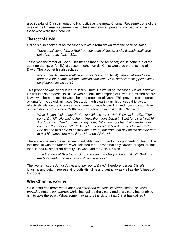also speaks of Christ in regard to His justice as the great Kinsman-Redeemer: one of the roles of the kinsman-redeemer was to take vengeance upon any who had wronged those who were their near kin.

## <span id="page-3-0"></span>**The root of David**

Christ is also spoken of as *the root of David*, a term drawn from the book of Isaiah.

*There shall come forth a Rod from the stem of Jesse, and a Branch shall grow out of his roots. Isaiah 11:1*

Jesse was the father of David. This means that a rod (or shoot) would come out of the stem (or stump, or family) of Jesse. In other words, Christ would be the offspring of David. The prophet Isaiah declared

*And in that day there shall be a root of Jesse* (or David)*, who shall stand as a banner to the people; for the Gentiles shall seek Him, and his resting place shall be glorious. Isaiah 11:10* 

This prophecy was also fulfilled in Jesus Christ. He would be *the root of David,* however He would also *precede* David. He was not only the offspring of David, He existed before David was born. In fact He would be the progenitor of David. This proved to be a great enigma for the Jewish mindset. Jesus, during his earthly ministry, used this fact to effectively silence the Pharisees who were continually cavilling and trying to catch Him out with devious questions. Matthew records how Jesus asked the Pharisees

*What do you think about the Christ? Whose son is He? They said to Him, "The son of David". He said to them, "How then does David in Spirit* (or vision) *call him 'Lord', saying, 'The Lord said to my Lord, "Sit at my right hand, till I make Your enemies Your footstool"? If David then called him "Lord", how is He his Son? And no one was able to answer him a word, nor from that day on did anyone dare to ask him any more questions. Matthew 22:41-46*

The whole scenario presented an unsolvable conundrum to the opponents of Jesus. The fact that He was the *root of David* indicated that He was not only David's progenitor, but that He had existed from eternity. He was God the Son. He was

*… in the form of God* (but) *did not consider it robbery to be equal with God, but made himself of no reputation. Philippians 2:6-7* 

The two terms, the *lion of Judah* and *the root of David*, therefore, denote Christ's kingship and deity – representing both His fullness of authority as well as the fullness of His power.

# <span id="page-3-1"></span>**Why Christ is worthy**

*He* (Christ) *has prevailed to open the scroll and to loose its seven seals.* The word *prevailed* means *conquered*. Christ has gained the victory and this victory has enabled him to take the scroll. What, some may ask, is the victory that Christ has gained?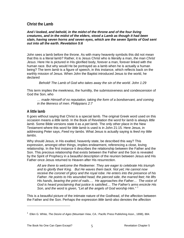## <span id="page-4-0"></span>**Christ the Lamb**

#### *And I looked, and behold, in the midst of the throne and of the four living creatures, and in the midst of the elders, stood a Lamb as though it had been slain, having seven horns and seven eyes, which are the seven Spirits of God sent out into all the earth. Revelation 5:6*

John sees a lamb before the throne. As with many heavenly symbols this did not mean that this is a literal lamb? Rather, it is Jesus Christ who is literally a man, *the man Christ Jesus*. Here He is pictured in His glorified body, forever a man, forever linked with the human race. But why would He be portrayed as a lamb when he is actually a human being? The term *lamb* is a figure of speech, in this instance, which reflects back on the earthly mission of Jesus. When John the Baptist introduced Jesus to the world, he declared

 *Behold! The Lamb of God who takes away the sin of the world. John 1:29*

This term implies the meekness, the humility, the submissiveness and condescension of God the Son, who

*… made Himself of no reputation, taking the form of a bondservant, and coming in the likeness of men. Philippians 2:7*

## <span id="page-4-1"></span>**A little lamb**

It goes without saying that Christ is a special lamb. The original Greek word used on this occasion means *a little lamb*. In the Book of Revelation the word for *lamb* is always *little lamb*. Some Bible versions state it as *a pet lamb*. The only other place in the New Testament where this word for *little lamb* is used is in John 21:15*.* Here Jesus, in addressing Peter says, *Feed my lambs*. What Jesus is actually saying is *feed my little lambs*.

Why should Jesus, in His exalted, heavenly state, be described this way? This expression, amongst other things, implies endearment, referencing a close, loving relationship. In the first instance it describes the relationship between the Father and the Son. This precious relationship that exists between the Father and the Son is revealed by the Spirit of Prophecy in a beautiful description of the reunion between Jesus and His Father once Jesus returned to Heaven after His resurrection.

*All are there to welcome the Redeemer. They are eager to celebrate His triumph and to glorify their King. But He waves them back. Not yet; He cannot now receive the coronet of glory and the royal robe. He enters into the presence of his Father. He points to His wounded head, the pierced side, the marred feet; He lifts His hands, bearing the print of nails…. He approaches the Father… The voice of God is heard proclaiming that justice is satisfied.... The Father's arms encircle His Son, and the word is given, "Let all the angels of God worship Him." [1](#page-4-2)*

This is a beautiful picture of the intimate nature of the Godhead, of the affection between the Father and the Son. Perhaps the expression *little lamb* also denotes the affection

<span id="page-4-2"></span><sup>1</sup> Ellen G. White, *The Desire of Ages* (Mountain View, CA.: Pacific Press Publishing Assn., 1898), 884.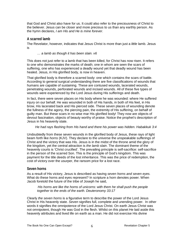that God and Christ also have for us. It could also refer to the preciousness of Christ to the believer. Jesus can be closer and more precious to us than any earthly person. As the hymn declares, *I am His and He is mine forever*.

#### <span id="page-5-0"></span>**A scarred lamb**

The Revelator, however, indicates that Jesus Christ is more than just a *little* lamb. Jesus is

#### *… a lamb as though it has been slain. v6*

This does not just refer to a lamb that has been killed, for Christ has now risen. It refers to one who demonstrates the marks of death; one in whom are seen the scars of suffering, one who has experienced a deadly wound yet that deadly wound has been healed. Jesus, in His glorified body, is now in heaven.

That glorified body is therefore a scarred body: one which contains the scars of battle. According to general surgical understanding there are five classifications of wounds that humans are capable of sustaining. These are contused wounds, lacerated wounds, penetrating wounds, perforated wounds and incised wounds. All of these five types of wounds were experienced by the Lord Jesus during His sufferings and death.

In fact, there were seven places on His body where he was wounded: where He suffered injury on our behalf. He was wounded in both of His hands, in both of His feet, in His brow, His lacerated back and His pierced side. These seven places of wounding denote the fullness of the agony, the piercing pain, the extremity of His suffering, on behalf of guilty man. But these scars in no wise mar His glorified body! They now are objects of devout fascination, objects of beauty worthy of praise. Notice the prophet's description of Jesus in his heavenly state.

 *He had rays flashing from His hand and there his power was hidden. Habakkuk 3:4*

Undoubtedly from these seven wounds in the glorified body of Jesus, these rays of light beam forth like *horns* (KJV). They declare to the universe the unspeakable sufferings of Christ and the victory that was His. Jesus is in the midst of the throne amid the glory of the kingdom, yet the central attraction is *the lamb slain*. The dominant theme of the heavenly courts is 'Christ crucified'. The prevailing principle is self-sacrifice: self-sacrifice in the person of the scarred Son. This is the principle of God's kingdom. This was payment for the title deeds of the lost inheritance. This was the price of redemption, the cost of victory over the usurper, the ransom price for a lost race.

#### <span id="page-5-1"></span>**Seven horns**

As a result of His victory, Jesus is described as having *seven horns and seven eyes.* What do these horns and eyes represent? In scripture a horn denotes power. When Jacob foretold the future of the tribe of Joseph he said,

*His horns are like the horns of unicorns: with them he shall push the people together to the ends of the earth. Deuteronomy 33:17*

Clearly *the seven horns* is a figurative term to describe the power of the Lord Jesus Christ in His heavenly state. *Seven* signifies full, complete and unending power. In other words it signifies the omnipotence of the Lord Jesus Christ. On earth Jesus Christ was not omnipotent, though He was God in the flesh. Whilst on this planet He laid aside this heavenly attributes and lived life on earth as a man. He did not exercise His divine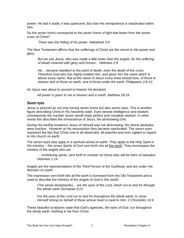power: He laid it aside, it was quiescent. But now His omnipotence is reactivated within Him.

Do the seven horns correspond to the seven horns of light that beam from the seven scars of Christ?

*There was the hiding of his power. Habakkuk 3:4* 

The New Testament affirms that the sufferings of Christ are the secret to His power and glory.

*But we see Jesus, who was made a little lower than the angels, for the suffering of death crowned with glory and honour... Hebrews 2:9*

*He… became obedient to the point of death, even the death of the cross. Therefore God also has highly exalted Him, and given him the name which is above every name, that at the name of Jesus every knee should bow, of those in heaven and of those on earth, and of those under the earth. Philippians 2:8-10*

As Jesus was about to ascend to heaven He declared

*All power is given to me in heaven and in earth. Matthew 28:18*

#### <span id="page-6-0"></span>**Seven eyes**

Jesus is pictured as not only having seven horns but also *seven eyes*. This is another figure describing Christ in His heavenly state. Eyes denote intelligence and wisdom, consequently the number seven would imply perfect and complete wisdom. In other words this describes the omniscience of Jesus, the all-knowing One.

During His earthly existence Jesus of Himself was not all-knowing: His divine attributes were inactive. However at His resurrection they became reactivated. The *seven eyes* represent the fact that Christ now is all-observant, all-watchful and ever vigilant in regard to His church on earth.

The seven eyes also apply in a spiritual sense on earth. They apply to the Holy Spirit in His ministry – *the seven Spirits of God sent forth into all the earth*. They encompass the ministry of the angels who are

*… ministering spirits, sent forth to minister for those who will be heirs of salvation. Hebrews 1:14*

Angels are the representatives of the Third Person of the Godhead, and are under His direction on earth.

The expression *sent forth into all the earth* is borrowed from the Old Testament and is used to describe the ministry of the angels of God in this world.

(The seven lampstands)*… are the eyes of the Lord, which run to and fro through the whole earth Zechariah 4:10*

*For the eyes of the Lord run to and fro throughout the whole earth, to show Himself strong on behalf of those whose heart is loyal to Him. 2 Chronicles 16:9*

These beautiful scriptures state that God's agencies, *the eyes of God*, run throughout the whole earth. Nothing is hid from Christ.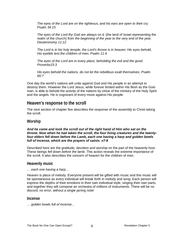*The eyes of the Lord are on the righteous, and his ears are open to their cry. Psalm 34:15*

*The eyes of the Lord thy God are always on it,* (the land of Israel representing the realm of the church) *from the beginning of the year to the very end of the year. Deuteronomy 11:12*

*The Lord is in his holy temple, the Lord's throne is in heaven: His eyes behold, His eyelids test the children of men. Psalm 11:4*

*The eyes of the Lord are in every place, beholding the evil and the good. Proverbs15:3*

*His eyes behold the nations, do not let the rebellious exalt themselves. Psalm 66:7*

One day the world's nations will unite against God and His people in an attempt to destroy them. However the Lord Jesus, while forever limited within His flesh as the Godman, is able to behold the activity of the nations by virtue of the ministry of the Holy Spirit and the angels. He is cognizant of every move against His people.

# <span id="page-7-0"></span>**Heaven's response to the scroll**

The next section of chapter five describes the response of the assembly to Christ taking the scroll.

## <span id="page-7-1"></span>**Worship**

#### *And he came and took the scroll out of the right hand of Him who sat on the throne. Now when he had taken the scroll, the four living creatures and the twentyfour elders fell down before the Lamb, each one having a harp and golden bowls full of incense, which are the prayers of saints. v7-8*

Described here are the gratitude, devotion and worship on the part of the heavenly host. These beings *fell down before the lamb*. This action reveals the extreme importance of the scroll. It also describes the concern of heaven for the children of men.

## <span id="page-7-2"></span>**Heavenly music**

#### *… each one having a harp…*

Heaven is place of melody. Everyone present will be gifted with music and this music will be spontaneous as every individual will break forth in melody and song. Each person will express the depths of their emotions in their own individual style, singing their own parts, and together they will compose an orchestra of millions of instruments. There will be no discord, no error, without a single jarring note!

#### <span id="page-7-3"></span>**Incense**

*… golden bowls full of incense…*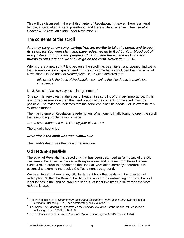This will be discussed in the eighth chapter of Revelation. In heaven there is a literal temple, a literal altar, a literal priesthood, and there is literal incense. (See *Literal in Heaven & Spiritual on Earth* under Revelation 4)

# <span id="page-8-0"></span>**The contents of the scroll**

*And they sang a new song, saying: You are worthy to take the scroll, and to open its seals; for You were slain, and have redeemed us to God by Your blood out of every tribe and tongue and people and nation, and have made us kings and priests to our God; and we shall reign on the earth. Revelation 5:9-10*

Why is there a new song? It is because the scroll has been taken and opened, indicating that redemption is now guaranteed. This is why some have concluded that this scroll of Revelation 5 is *the book of Redemption*. Dr. Fawcett declares that

*this scroll is the book of Redemption containing the title deeds to man's lost inheritance [2](#page-8-2)*

Dr. J. Seiss in *The Apocalypse* is in agreement.<sup>[3](#page-8-3)</sup>

One point is very clear: in the eyes of heaven this scroll is of primary importance. If this is a correct assumption then the identification of the contents of the scroll must be possible. The evidence indicates that the scroll contains title deeds. Let us examine this evidence further.

The main theme of Revelation is redemption. When one is finally found to open the scroll the resounding proclamation is made,

*…You have redeemed us to God by your blood… v9*

The angelic host cries

#### *…Worthy is the lamb who was slain… v12*

The Lamb's death was the price of redemption.

## <span id="page-8-1"></span>**Old Testament parallels**

 $\overline{a}$ 

The scroll of Revelation is based on what has been described as 'a mosaic of the Old Testament' because it is packed with expressions and phrases from these Hebrew Scriptures. In order to understand the Book of Revelation correctly, therefore, it is essential to examine the book's Old Testament background.

We need to ask if there is any Old Testament book that deals with the question of redemption. Within the Book of Leviticus the laws for the redeeming or buying back of inheritances in the land of Israel are set out. At least five times in six verses the word *redeem* is used.

<span id="page-8-2"></span><sup>2</sup> Robert Jamieson et al., *Commentary Critical and Explanatory on the Whole Bible* (Grand Rapids: Eerdmans Publishing, 1871), see commentary on Revelation 5:1.

<span id="page-8-3"></span><sup>&</sup>lt;sup>3</sup> J.A. Seiss, *The Apocalypse: Lectures on the Book of Revelation* (Grand Rapids, MI.: Zondervan Publishing House, 1966), 1:267-280.

<sup>2</sup> Robert Jamieson et al., *Commentary Critical and Explanatory on the Whole Bible* 6:674.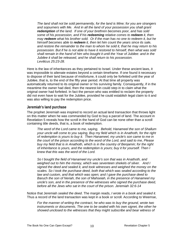*The land shall not be sold permanently, for the land is Mine; for you are strangers and sojourners with Me. And in all the land of your possession you shall grant redemption of the land. If one of your brethren becomes poor, and has sold some of his possession, and if his redeeming relative comes to redeem it, then may redeem what his brother sold. Or if the man has no one to redeem it, but he himself becomes able to redeem it, then let him count the years since its sale, and restore the remainder to the man to whom he sold it, that he may return to his possession. But if he is not able to have it restored to himself, then what was sold shall remain in the hand of him who bought it until the Year of Jubilee: and in the Jubilee it shall be released, and he shall return to his possession. Leviticus 25:23-28.*

Here is the law of inheritances as they pertained to Israel. Under these ancient laws, it was impossible to alienate estates beyond a certain timeframe. If one found it necessary to dispose of their land because of misfortune, it could only be forfeited until the year of Jubilee, that is, to the end of the fifty year period. At that time all property was automatically returned to its original owner or his surviving family. Consequently, if in the meantime the owner had died, then the nearest kin could step in to claim what the original owner had forfeited. In fact the person who was entitled to reclaim the property did not even have to wait for the Jubilee, provided he could establish legal claim to it and was also willing to pay the redemption price.

#### <span id="page-9-0"></span>**Jeremiah's land purchase**

The prophet Jeremiah was inspired to record an actual land transaction that throws light on this matter when he was commanded by God to buy a parcel of land. The account in Revelation 5 reveals how the scroll in the hand of God can be none other than a scroll containing title deeds, that is, a book of redemption.

*The word of the Lord came to me, saying, Behold, Hanameel the son of Shallum your uncle will come to you saying, Buy my field which is in Anathoth, for the right of redemption is yours to buy it. Then Hanameel, my uncle's son came to me in the court of the prison according to the word of the Lord, and said to me, Please buy my field that is in Anathoth, which is in the country of Benjamin; for the right of inheritance is yours, and the redemption is yours; buy it for yourself. Then I knew that this was the word of the Lord.* 

*So I bought the field of Hanameel my uncle's son that was in Anathoth, and weighed out to him the money, which was seventeen shekels of silver. And I signed the deed and sealed it, and took witnesses and weighed the money on the scales. So I took the purchase deed, both that which was sealed according to the law and custom, and that which was open; and I gave the purchase deed to Baruch the son of Neriah, the son of Mahseiah, in the presence of Hanameel my uncle's son, and in the presence of the witnesses who signed the purchase deed, before all the Jews who sat in the court of the prison. Jeremiah 32:6-14*

Notice that Jeremiah *sealed the deed*. The margin reads, *I wrote in a book and sealed it*. Thus a record of the land transaction was kept in a book or scroll. According to Weemse,

*For the manner of writing the contract, he who was to buy the ground, wrote two*  instruments or documents. The one to be sealed with his own signet, the other he *showed unclosed to the witnesses that they might subscribe and bear witness of*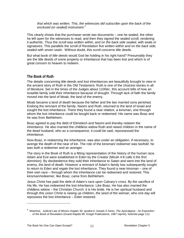*that which was written. This, the witnesses did subscribe upon the back of the enclosed (or sealed) instrument.[4](#page-10-1)*

This clearly shows that the purchaser wrote two documents – one he sealed, the other he left open for the witnesses to read, and then they signed the sealed scroll, rendering it authentic. Thus the scroll was *written within, and on the back side sealed*, with seals or signatures. This parallels the scroll of Revelation five *written within and on the back side, sealed with seven seals*. Without doubt, this scroll concerns title deeds.

But what book of *title deeds* would God be holding in his right hand? Presumably they are the title deeds of some property or inheritance that has been lost and which is of great concern to heaven to redeem.

#### <span id="page-10-0"></span>**The Book of Ruth**

The details concerning title-deeds and lost inheritances are beautifully brought to view in the ancient story of Ruth in the Old Testament. Ruth is one of the choicest stories in all of literature. Set in the times of the Judges about 1100BC, this account tells of how an Israelite family sold their inheritance because of drought. Through lack of faith the family moved into the land of Moab, the land of the enemy.

Moab became a land of death because the father and the two married sons perished. Erelong the remnant of the family, Naomi and Ruth, returned to the land of Israel and sought the lost inheritance. There they found a near relative, a kinsman, one through whom the lost inheritance could be bought back or redeemed. His name was Boaz and he was from Bethlehem.

Boaz agreed to pay the debt of Elimelech and Naomi and thereby redeem the inheritance. He also married the childless widow Ruth and raised children in the name of the dead husband, who as a consequence, it could be said, repossessed the inheritance.

Now Boaz, in redeeming the inheritance, was also under an obligation, if necessary, to avenge the death of the near of kin. The role of the kinsman/ redeemer was twofold: he was both a redeemer and an avenger.

The story in the Book of Ruth is a fitting representation of the history of the human race. Adam and Eve were established in Eden by the Creator (Micah 4:8 calls it *the first dominion*). By disobedience they sold their inheritance to Satan and went into the land of enemy, the land of death. However a remnant of Adam's family has subsequently sought to return to Eden and regain the lost inheritance. They found a near kinsman – one of their own race – through whom the inheritance can be redeemed and restored. This kinsman/redeemer, like Boaz, came from Bethlehem.

Jesus Christ has paid the debt of Adam's race upon Calvary's cross. By the sacrifice of His life, He has redeemed the lost inheritance. Like Boaz, He has also married the childless widow – the Christian Church: it is His bride. He is her spiritual husband and through this union Christ is raising up children, *the seed of the woman*, who one day will repossess the lost inheritance – Eden restored.

<span id="page-10-1"></span><sup>4</sup> Weemse, *Judicial Law of Moses* chapter 30, quoted in Joseph A Seiss, *The Apocalypse - An Exposition of the Book of Revelation* (Grand Rapids MI: Kregel Publications, 1987 reprint), footnote page 112.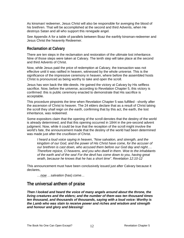As kinsman/ redeemer, Jesus Christ will also be responsible for avenging the blood of his brethren. That will be accomplished at the second and third Advents, when He destroys Satan and all who support this renegade angel.

See Appendix A for a table of parallels between Boaz the earthly kinsman-redeemer and Jesus Christ the heavenly Redeemer.

## <span id="page-11-0"></span>**Reclamation at Calvary**

There are ten steps in the reclamation and restoration of the ultimate lost inheritance. Nine of those steps were taken at Calvary. The tenth step will take place at the second and third Advents of Christ.

Now, while Jesus paid the price of redemption at Calvary, the transaction was not effective until it was ratified in heaven, witnessed by the whole universe. This is the significance of the impressive ceremony in heaven, where before the assembled hosts Christ is pronounced as being worthy to take and open the scroll.

Jesus has won back the title-deeds. He gained the victory at Calvary by His selfless sacrifice. Now, before the universe, according to Revelation Chapter 5, this victory is confirmed: this is public ceremony enacted to demonstrate that His sacrifice is acceptable.

This procedure pinpoints the time when Revelation Chapter 5 was fulfilled - shortly after the ascension of Christ to heaven. The 24 elders declare that as a result of Christ taking the scroll they *shall reign on the earth*, confirming that by this act, the earth, the lost inheritance, was redeemed.

Some expositors claim that the opening of the scroll denotes that the destiny of the world is already determined, and that this opening occurred in 1844 in the pre-second advent judgment. Now, while it could be true that the reception of the scroll might involve the world's fate, the announcement made that the destiny of the world had been determined was made just after the crucifixion of Christ.

*I heard a loud voice saying in heaven, "Now salvation, and strength, and the kingdom of our God, and the power of His Christ have come, for the accuser of our brethren is cast down, who accused them before our God day and night…. Therefore rejoice, O heavens, and you who dwell in them. Woe to the inhabitants of the earth and of the sea! For the devil has come down to you, having great wrath, because he knows that he has a short time". Revelation 12:10-12*

This announcement must have been conclusively issued just after Calvary because it declares,

*…now …salvation* (has) *come…*

# <span id="page-11-1"></span>**The universal anthem of praise**

*Then I looked and heard the voice of many angels around about the throne, the living creatures and the elders; and the number of them was ten thousand times ten thousand, and thousands of thousands, saying with a loud voice: Worthy is the Lamb who was slain to receive power and riches and wisdom and strength and honour and glory and blessing!*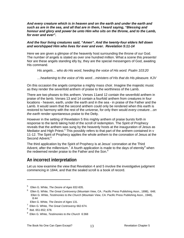*And every creature which is in heaven and on the earth and under the earth and such as are in the sea, and all that are in them, I heard saying, "Blessing and honour and glory and power be unto Him who sits on the throne, and to the Lamb, for ever and ever".* 

#### *And the four living creatures said, "Amen". And the twenty-four elders fell down and worshipped Him who lives for ever and ever. Revelation 5:11-14*

Here we are given a glimpse of the heavenly host surrounding the throne of our God. The number of angels is stated as over one hundred million. What a scene this presents! Nor are these angels standing idly by, they are the special messengers of God, awaiting His command.

*His angels… who do His word, heeding the voice of His word. Psalm 103:20*

*…hearkening to the voice of His word…ministers of His that do His pleasure. KJV*

On this occasion the angels comprise a mighty mass choir. Imagine the majestic music as they render the sevenfold anthem of praise to the worthiness of the Lamb.

There are two phases to this anthem. Verses 11and 12 contain the sevenfold anthem in praise of the lamb. Verses 13 and 14 contain a fourfold anthem from creatures in four locations - heaven, earth, under the earth and in the sea - in praise of the Father and the Lamb. It would seem that the second anthem could only be rendered when this earth is restored to harmony with the rest of the universe, for only then would *every creature…on the earth* render spontaneous praise to the Deity.

However in the setting of Revelation 5 this mighty anthem of praise bursts forth in response to the lamb taking hold of the scroll of redemption. The Spirit of Prophecy reveals that the anthem was sung by the heavenly hosts at the inauguration of Jesus as Mediator and High Priest.<sup>[5](#page-12-1)</sup> This possibly refers to that part of the anthem contained in  $v$ 11-12. The Spirit of Prophecy applies the whole anthem to the coronation of Jesus at the Second Advent.<sup>[6](#page-12-2)</sup>

The third application by the Spirit of Prophecy is at Jesus' coronation at the Third Advent, after the millennium.<sup>[7](#page-12-3)</sup> A fourth application is made to the days of eternity<sup>[8](#page-12-4)</sup> when the redeemed render praise to the Father and the Son.<sup>[9](#page-12-5)</sup>

## <span id="page-12-0"></span>**An incorrect interpretation**

Let us now examine the view that Revelation 4 and 5 involve the investigative judgment commencing in 1844, and that the sealed scroll is a book of record.

<span id="page-12-1"></span><sup>5</sup> Ellen G. White, *The Desire of Ages* 832-835.

<span id="page-12-2"></span><sup>6</sup> Ellen G. White, *The Great Controversy* (Mountain View, CA.: Pacific Press Publishing Assn., 1898), 648; Ellen G. White, *Testimonies to the Church* (Mountain View, CA: Pacific Press Publishing Assn., 1948), 8:44

Ellen G. White, *The Desire of Ages* 131.

<sup>7</sup> Ellen G. White, *The Great Controversy* 662-674.

<span id="page-12-4"></span><span id="page-12-3"></span><sup>8</sup> Ibid. 651-652; 678.

<span id="page-12-5"></span><sup>9</sup> Ellen G. White, *Testimonies to the Church* 6:368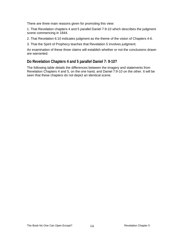There are three main reasons given for promoting this view:

1. That Revelation chapters 4 and 5 parallel Daniel 7:9-10 which describes the judgment scene commencing in 1844.

2. That Revelation 6:10 indicates judgment as the theme of the vision of Chapters 4-6.

3. That the Spirit of Prophecy teaches that Revelation 5 involves judgment.

An examination of these three claims will establish whether or not the conclusions drawn are warranted.

## <span id="page-13-0"></span>**Do Revelation Chapters 4 and 5 parallel Daniel 7: 9-10?**

The following table details the differences between the imagery and statements from Revelation Chapters 4 and 5, on the one hand, and Daniel 7:9-10 on the other. It will be seen that these chapters do not depict an identical scene.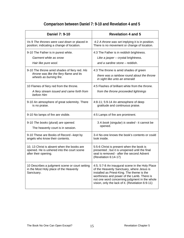# **Comparison between Daniel 7: 9-10 and Revelation 4 and 5**

| <b>Daniel 7: 9-10</b>                                                                                            | <b>Revelation 4 and 5</b>                                                                                                                                                                                                                                                                     |
|------------------------------------------------------------------------------------------------------------------|-----------------------------------------------------------------------------------------------------------------------------------------------------------------------------------------------------------------------------------------------------------------------------------------------|
| Vs 9 The thrones were cast down or placed in                                                                     | 4:2 A throne was set implying it is in position.                                                                                                                                                                                                                                              |
| position; indicating a change of location.                                                                       | There is no movement or change of location.                                                                                                                                                                                                                                                   |
| 9-10 The Father is in purest white.                                                                              | 4:3 The Father is in reddish brightness.                                                                                                                                                                                                                                                      |
| Garment white as snow                                                                                            | Like a jasper - crystal brightness.                                                                                                                                                                                                                                                           |
| Hair like pure wool.                                                                                             | and a sardine stone - reddish.                                                                                                                                                                                                                                                                |
| 9-10 The throne amid shades of fiery red. His                                                                    | 4:3 The throne is amid shades of green                                                                                                                                                                                                                                                        |
| throne was like the fiery flame and its                                                                          | there was a rainbow round about the throne                                                                                                                                                                                                                                                    |
| wheels as burning fire.                                                                                          | in sight like unto an emerald                                                                                                                                                                                                                                                                 |
| 10 Flames of fiery red from the throne.<br>A fiery stream issued and came forth from<br>before Him               | 4:5 Flashes of brilliant white from the throne.<br>from the throne proceeded lightnings                                                                                                                                                                                                       |
| 9-10 An atmosphere of great solemnity. There                                                                     | 4:8-11; 5:9-14 An atmosphere of deep                                                                                                                                                                                                                                                          |
| is no praise.                                                                                                    | gratitude and continuous praise.                                                                                                                                                                                                                                                              |
| 9-10 No lamps of fire are visible.                                                                               | 4:5 Lamps of fire are prominent.                                                                                                                                                                                                                                                              |
| 9-10 The books (plural) are opened.                                                                              | 3 A book (singular) is sealed - it cannot be                                                                                                                                                                                                                                                  |
| The heavenly court is in session.                                                                                | opened.                                                                                                                                                                                                                                                                                       |
| 9-10 These are Books of Record -kept by                                                                          | 3-4 No-one knows the book's contents or could                                                                                                                                                                                                                                                 |
| angels who know their contents.                                                                                  | look inside.                                                                                                                                                                                                                                                                                  |
| 10, 13 Christ is absent when the books are<br>opened. He is ushered into the court scene<br>after their opening. | 5:5-6 Christ is present when the book is<br>presented; but it is unopened until the final<br>seal is removed - after the second Advent<br>(Revelation 6:14-17)                                                                                                                                |
| 10 Describes a judgment scene or court setting<br>in the Most Holy place of the Heavenly<br>Sanctuary.           | 4:5; 5:7-8 An inaugural scene in the Holy Place<br>of the Heavenly Sanctuary, where Jesus is<br>installed as Priest-King. The theme is the<br>worthiness and power of the Lamb. There is<br>not one word concerning judgment in the whole<br>vision, only the lack of it. (Revelation 6:9-11) |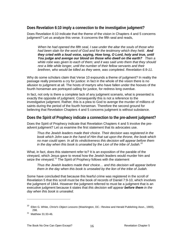## <span id="page-15-0"></span>**Does Revelation 6:10 imply a connection to the investigative judgment?**

Does Revelation 6:10 indicate that the theme of the vision in Chapters 4 and 5 concerns judgment? Let us analyze this verse. It concerns the fifth seal and reads,

*When he had opened the fifth seal, I saw under the altar the souls of those who had been slain for the word of God and for the testimony which they held. And they cried with a loud voice, saying, How long, O Lord, holy and true, until You judge and avenge our blood on those who dwell on the earth? Then a white robe was given to each of them; and it was said unto them that they should rest a little while longer, until the number of their fellow servants and their brethren, who would be killed as they were, was completed. Revelation 6:9-11.*

Why do some scholars claim that Verse 10 expounds a theme of judgment? In reality the passage really presents a cry for justice: in fact in the whole of the vision there is no allusion to judgment at all. The hosts of martyrs who have fallen under the hooves of the fourth horseman are portrayed calling for justice, for redress long overdue.

In fact, not only is there a complete lack of any judgment scenario, what is presented is exactly the opposite of judgment. Consequently this is not a reference to the investigative judgment. Rather, this is a plea to God to avenge the murder of millions of saints during the period of the fourth horseman. Therefore the second ground for believing that Revelation Chapters 4 and 5 concerns judgment is without substance.

## <span id="page-15-1"></span>**Does the Spirit of Prophecy indicate a connection to the pre-advent judgment?**

Does the Spirit of Prophecy indicate that Revelation Chapters 4 and 5 involve the preadvent judgment? Let us examine the first statement that its advocates use.

*Thus the Jewish leaders made their choice. Their decision was registered in the book which John saw in the hand of Him that sat upon the throne, the book which no man could open. In all its vindictiveness this decision will appear before them in the day when this book is unsealed by the Lion of the tribe of Judah. [10](#page-15-2)*

What, in fact, does this statement refer to? It is an exposition of the parable of the vineyard, which Jesus gave to reveal how the Jewish leaders would murder him and seize the vineyard.<sup>[11](#page-15-3)</sup> The Spirit of Prophecy follows with the statement

*Thus the Jewish leaders made their choice… and this decision will appear before them in the day when this book is unsealed by the lion of the tribe of Judah.*

Some have concluded that because this fearful crime was registered in the scroll of Revelation 5 that this scroll must be the book of records of Daniel 7:9-10, which involves the judgment of 1844. However the judgment referred to must be a judgment that is an executive judgment because it states that *this decision will appear before them in the day when this book is unsealed*.

<span id="page-15-2"></span><sup>10</sup> Ellen G. White, *Christ's Object Lessons* (Washington, DC.: Review and Herald Publishing Assn., 1900), 298.

<span id="page-15-3"></span><sup>11</sup> Matthew 31:33-46.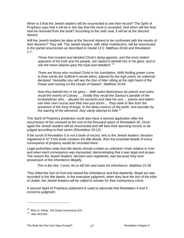When is it that the Jewish leaders will be resurrected to see their record? The Spirit of Prophecy says that it will be *in the day that this book is unsealed*. And when will the final seal be removed from the book? According to the sixth seal, it will be at the Second Advent.

Will the Jewish leaders be alive at the Second Advent to be confronted with the results of their decision? They will. The Jewish leaders, with other malefactors, will be resurrected in the partial resurrection as described in Daniel 12:2, Matthew 26:64 and Revelation 1:7.

*Those that mocked and derided Christ's dying agonies, and the most violent opposers of his truth and his people, are raised to behold him in his glory, and to see the honor placed upon the loyal and obedient. [12](#page-16-0)*

*There are those who mocked Christ in his humiliation. With thrilling power come to their minds the Sufferer's words when, adjured by the high priest, he solemnly declared, 'Hereafter you will see the Son of Man sitting at the right hand of the Power and coming on the clouds of heaven'. Matthew 26:64*

*Now they behold him in his glory… With awful distinctness do priests and rulers recall the events of Calvary. …Vividly they recall the Saviour's parable of the husbandman who… abused his servants and slew his son…. priests and elders see their own course and their own just doom… They seek to flee from the presence of the King of kings. In the deep caverns of the earth, rent asunder by the warring of the elements, they vainly attempt to hide.[13](#page-16-1)*

This Spirit of Prophecy prediction could also have a second application after the resurrection of the unsaved at the end of the thousand years of Revelation 20. Once again the Jewish leaders will be resurrected and will face their damning record, to be judged according to their works (Revelation 20:12).

If the scroll of Revelation 5 is not a book of record, why is the Jewish leaders' decision registered in it? If this book contains the title-deeds, then the essential details of every conveyance of property would be recorded there.

Legal authorities state that title deeds should contain an unbroken chain relative to how and when each conveyance was transacted, demonstrating that it was legal and proper. The reason the Jewish leaders' decision was registered, was because they took possession of the inheritance illegally.

*This is the heir. Come, let us kill him and seize his inheritance. Matthew 21:38*

They killed the Son of God and seized the inheritance and that dastardly, illegal act was recorded in the title deeds. In the executive judgment, when they face *the lion of the tribe of Judah*, the Jewish leaders will be called to answer for their momentous crime.

A second Spirit of Prophecy statement is used to advocate that Revelation 4 and 5 concerns judgment.

<span id="page-16-0"></span><sup>12</sup> Ellen G. White, *The Great Controversy* 637.

<span id="page-16-1"></span><sup>13</sup> Ibid. 643-644*.*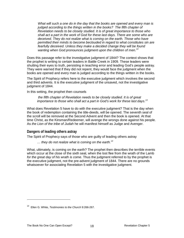*What will such a one do in the day that the books are opened and every man is judged according to the things written in the books? The fifth chapter of Revelation needs to be closely studied. It is of great importance to those who shall act a part in the work of God for these last days. There are some who are deceived. They do not realize what is coming on the earth. Those who have permitted their minds to become beclouded in regard to what constitutes sin are fearfully deceived. Unless they make a decided change they will be found wanting when God pronounces judgment upon the children of men.[14](#page-17-1)*

Does this passage refer to the investigative judgment of 1844? The context shows that the prophet is writing to certain leaders in Battle Creek in 1909. These leaders were shutting their eyes to truth, persisting in teaching error and leading God's people astray. They were warned that if they did not repent, they would face the judgment when the books are opened and every man is judged according to the things written in the books.

The Spirit of Prophecy refers here to the executive judgment which involves the second and third advents. It is the executive judgment of the unsaved, not the investigative judgment of 1844.

In this setting, the prophet then counsels

*the fifth chapter of Revelation needs to be closely studied. It is of great importance to those who shall act a part in God's work for these last days.[13](#page-17-2)*

What does Revelation 5 have to do with the executive judgment? That is the day when the book of redemption containing the title-deeds, will be opened. The seventh seal of the scroll will be removed at the Second Advent and then the book is opened. At that time Christ, as the Kinsman/Redeemer, will avenge the wrongs done against his people. As *the Lion of the tribe of Judah* he will manifest himself as Judge and Avenger.

#### <span id="page-17-0"></span>**Dangers of leading others astray**

The Spirit of Prophecy says of those who are guilty of leading others astray

*… they do not realize what is coming on the earth. [13](#page-17-3)*

What, ultimately, is coming on the earth? The prophet then describes the terrible events which occur at the close of the sixth seal, when the lost flee from the wrath of the Lamb *for the great day of his wrath is come.* Thus the judgment referred to by the prophet is the executive judgment, not the pre-advent judgment of 1844. There are no grounds whatsoever for associating Revelation 5 with the investigative judgment.

<span id="page-17-3"></span><span id="page-17-2"></span><span id="page-17-1"></span><sup>14</sup> Ellen G. White, *Testimonies to the Church* 9:266-267.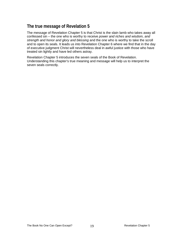# <span id="page-18-0"></span>**The true message of Revelation 5**

The message of Revelation Chapter 5 is that Christ is the slain lamb who takes away all confessed sin – the one who is worthy to receive *power and riches and wisdom, and strength and honor and glory and blessing* and the one who is worthy to take the scroll and to open its seals. It leads us into Revelation Chapter 6 where we find that in the day of executive judgment Christ will nevertheless deal in awful justice with those who have treated sin lightly and have led others astray.

Revelation Chapter 5 introduces the seven seals of the Book of Revelation. Understanding this chapter's true meaning and message will help us to interpret the seven seals correctly.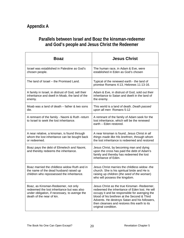# <span id="page-19-0"></span>**Parallels between Israel and Boaz the kinsman-redeemer and God's people and Jesus Christ the Redeemer**

| <b>Boaz</b>                                                                                                                                                     | <b>Jesus Christ</b>                                                                                                                                                                                                                                                                                                    |
|-----------------------------------------------------------------------------------------------------------------------------------------------------------------|------------------------------------------------------------------------------------------------------------------------------------------------------------------------------------------------------------------------------------------------------------------------------------------------------------------------|
| Israel was established in Palestine as God's<br>chosen people.                                                                                                  | The human race, in Adam & Eve, were<br>established in Eden as God's chosen                                                                                                                                                                                                                                             |
| The land of Israel – the Promised Land.                                                                                                                         | Typical of the renewed earth - the land of<br>promise Romans 4:13, Hebrews 11:13-16.                                                                                                                                                                                                                                   |
| A family in Israel, in distrust of God, sell their<br>inheritance and dwell in Moab, the land of the<br>enemy.                                                  | Adam & Eve, in distrust of God, sold out their<br>inheritance to Satan and dwelt in the land of<br>the enemy.                                                                                                                                                                                                          |
| Moab was a land of death – father & two sons<br>die.                                                                                                            | This world is a land of death. Death passed<br>upon all men Romans 5:12                                                                                                                                                                                                                                                |
| A remnant of the family - Naomi & Ruth -return<br>to Israel to seek the lost inheritance.                                                                       | A remnant of the family of Adam seek for the<br>lost inheritance, which will be the renewed<br>earth - Eden restored.                                                                                                                                                                                                  |
| A near relative, a kinsman, is found through<br>whom the lost inheritance can be bought back<br>or redeemed.                                                    | A near kinsman is found, Jesus Christ in all<br>things made like His brethren, through whom<br>the lost inheritance is redeemed and restored                                                                                                                                                                           |
| Boaz pays the debt of Elimelech and Naomi,<br>and thereby redeems the inheritance.                                                                              | Jesus Christ, by becoming man and dying<br>upon the cross has paid the debt of Adam's<br>family and thereby has redeemed the lost<br>inheritance of Eden.                                                                                                                                                              |
| Boaz married the childless widow Ruth and in<br>the name of the dead husband raised up<br>children who repossessed the inheritance.                             | Jesus Christ marries the childless widow -the<br>church. She is his spiritual bride and He is<br>raising up children (the seed of the woman)<br>who will possess the kingdom.                                                                                                                                          |
| Boaz, as Kinsman-Redeemer, not only<br>redeemed the lost inheritance but was also<br>under obligation, if necessary, to avenge the<br>death of the near of kin. | Jesus Christ as the true Kinsman - Redeemer,<br>redeemed the inheritance of Eden lost. He will<br>occupy it and be responsible for avenging the<br>blood of his brethren at the Second & Third<br>Advents. He destroys Satan and his followers,<br>then cleanses and restores this earth to its<br>original condition. |